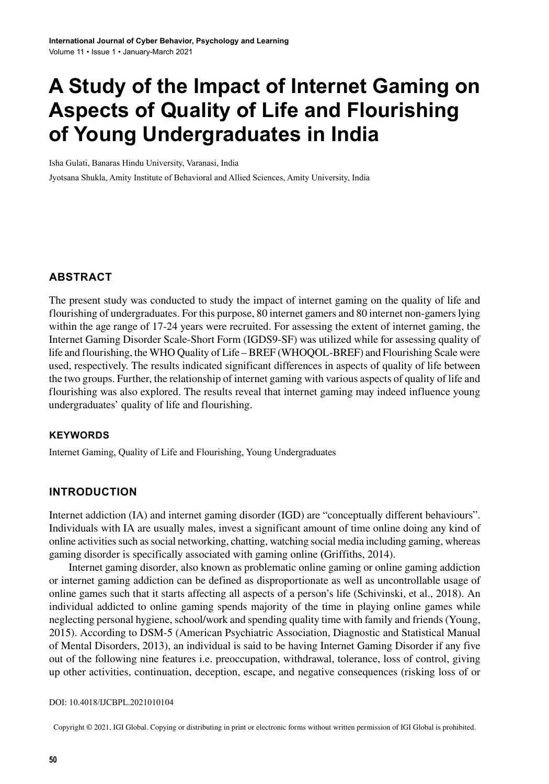# **A Study of the Impact of Internet Gaming on Aspects of Quality of Life and Flourishing of Young Undergraduates in India**

Isha Gulati, Banaras Hindu University, Varanasi, India

Jyotsana Shukla, Amity Institute of Behavioral and Allied Sciences, Amity University, India

# **ABSTRACT**

The present study was conducted to study the impact of internet gaming on the quality of life and flourishing of undergraduates. For this purpose, 80 internet gamers and 80 internet non-gamerslying within the age range of 17-24 years were recruited. For assessing the extent of internet gaming, the Internet Gaming Disorder Scale-Short Form (IGDS9-SF) was utilized while for assessing quality of life and flourishing, the WHO Quality of Life – BREF (WHOQOL-BREF) and Flourishing Scale were used, respectively. The results indicated significant differences in aspects of quality of life between the two groups. Further, the relationship of internet gaming with various aspects of quality of life and flourishing was also explored. The results reveal that internet gaming may indeed influence young undergraduates' quality of life and flourishing.

#### **Keywords**

Internet Gaming, Quality of Life and Flourishing, Young Undergraduates

# **INTRODUCTION**

Internet addiction (IA) and internet gaming disorder (IGD) are "conceptually different behaviours". Individuals with IA are usually males, invest a significant amount of time online doing any kind of online activities such as social networking, chatting, watching social media including gaming, whereas gaming disorder is specifically associated with gaming online **(**Griffiths, 2014).

Internet gaming disorder, also known as problematic online gaming or online gaming addiction or internet gaming addiction can be defined as disproportionate as well as uncontrollable usage of online games such that it starts affecting all aspects of a person's life (Schivinski, et al., 2018). An individual addicted to online gaming spends majority of the time in playing online games while neglecting personal hygiene, school/work and spending quality time with family and friends (Young, 2015). According to DSM-5 (American Psychiatric Association, Diagnostic and Statistical Manual of Mental Disorders, 2013), an individual is said to be having Internet Gaming Disorder if any five out of the following nine features i.e. preoccupation, withdrawal, tolerance, loss of control, giving up other activities, continuation, deception, escape, and negative consequences (risking loss of or

#### DOI: 10.4018/IJCBPL.2021010104

Copyright © 2021, IGI Global. Copying or distributing in print or electronic forms without written permission of IGI Global is prohibited.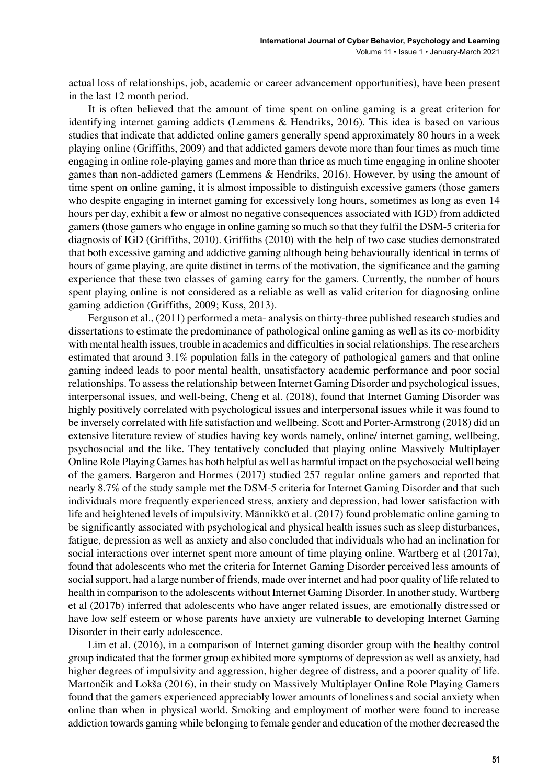actual loss of relationships, job, academic or career advancement opportunities), have been present in the last 12 month period.

It is often believed that the amount of time spent on online gaming is a great criterion for identifying internet gaming addicts (Lemmens & Hendriks, 2016). This idea is based on various studies that indicate that addicted online gamers generally spend approximately 80 hours in a week playing online (Griffiths, 2009) and that addicted gamers devote more than four times as much time engaging in online role-playing games and more than thrice as much time engaging in online shooter games than non-addicted gamers (Lemmens & Hendriks, 2016). However, by using the amount of time spent on online gaming, it is almost impossible to distinguish excessive gamers (those gamers who despite engaging in internet gaming for excessively long hours, sometimes as long as even 14 hours per day, exhibit a few or almost no negative consequences associated with IGD) from addicted gamers(those gamers who engage in online gaming so much so that they fulfil the DSM-5 criteria for diagnosis of IGD (Griffiths, 2010). Griffiths (2010) with the help of two case studies demonstrated that both excessive gaming and addictive gaming although being behaviourally identical in terms of hours of game playing, are quite distinct in terms of the motivation, the significance and the gaming experience that these two classes of gaming carry for the gamers. Currently, the number of hours spent playing online is not considered as a reliable as well as valid criterion for diagnosing online gaming addiction (Griffiths, 2009; Kuss, 2013).

Ferguson et al., (2011) performed a meta- analysis on thirty-three published research studies and dissertations to estimate the predominance of pathological online gaming as well as its co-morbidity with mental health issues, trouble in academics and difficulties in social relationships. The researchers estimated that around 3.1% population falls in the category of pathological gamers and that online gaming indeed leads to poor mental health, unsatisfactory academic performance and poor social relationships. To assessthe relationship between Internet Gaming Disorder and psychological issues, interpersonal issues, and well-being, Cheng et al. (2018), found that Internet Gaming Disorder was highly positively correlated with psychological issues and interpersonal issues while it was found to be inversely correlated with life satisfaction and wellbeing. Scott and Porter-Armstrong (2018) did an extensive literature review of studies having key words namely, online/ internet gaming, wellbeing, psychosocial and the like. They tentatively concluded that playing online Massively Multiplayer Online Role Playing Games has both helpful as well as harmful impact on the psychosocial well being of the gamers. Bargeron and Hormes (2017) studied 257 regular online gamers and reported that nearly 8.7% of the study sample met the DSM-5 criteria for Internet Gaming Disorder and that such individuals more frequently experienced stress, anxiety and depression, had lower satisfaction with life and heightened levels of impulsivity. Männikkö et al. (2017) found problematic online gaming to be significantly associated with psychological and physical health issues such as sleep disturbances, fatigue, depression as well as anxiety and also concluded that individuals who had an inclination for social interactions over internet spent more amount of time playing online. Wartberg et al (2017a), found that adolescents who met the criteria for Internet Gaming Disorder perceived less amounts of socialsupport, had a large number of friends, made over internet and had poor quality of life related to health in comparison to the adolescents without Internet Gaming Disorder. In another study, Wartberg et al (2017b) inferred that adolescents who have anger related issues, are emotionally distressed or have low self esteem or whose parents have anxiety are vulnerable to developing Internet Gaming Disorder in their early adolescence.

Lim et al. (2016), in a comparison of Internet gaming disorder group with the healthy control group indicated that the former group exhibited more symptoms of depression as well as anxiety, had higher degrees of impulsivity and aggression, higher degree of distress, and a poorer quality of life. Martončik and Lokša (2016), in their study on Massively Multiplayer Online Role Playing Gamers found that the gamers experienced appreciably lower amounts of loneliness and social anxiety when online than when in physical world. Smoking and employment of mother were found to increase addiction towards gaming while belonging to female gender and education of the mother decreased the